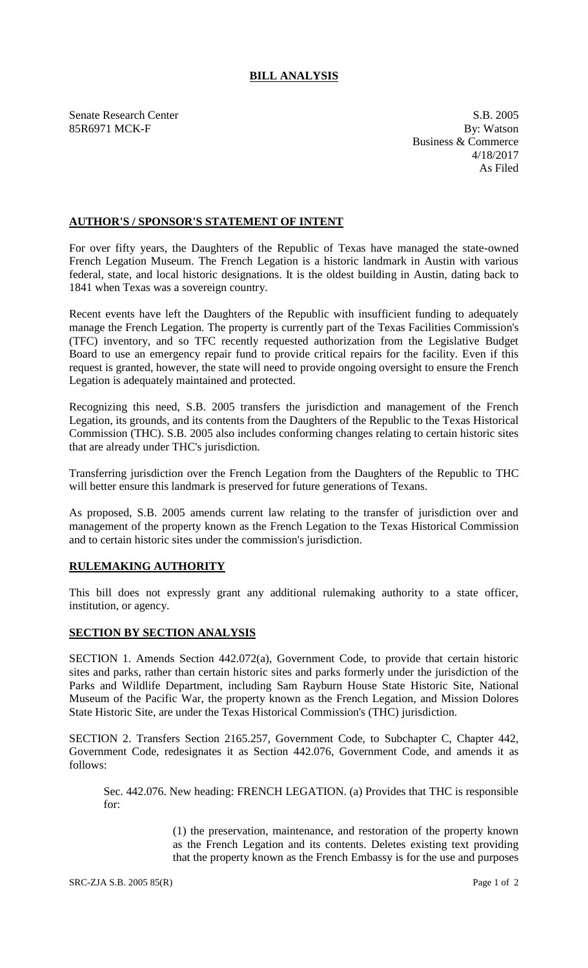## **BILL ANALYSIS**

Senate Research Center S.B. 2005 85R6971 MCK-F By: Watson

Business & Commerce 4/18/2017 As Filed

## **AUTHOR'S / SPONSOR'S STATEMENT OF INTENT**

For over fifty years, the Daughters of the Republic of Texas have managed the state-owned French Legation Museum. The French Legation is a historic landmark in Austin with various federal, state, and local historic designations. It is the oldest building in Austin, dating back to 1841 when Texas was a sovereign country.

Recent events have left the Daughters of the Republic with insufficient funding to adequately manage the French Legation. The property is currently part of the Texas Facilities Commission's (TFC) inventory, and so TFC recently requested authorization from the Legislative Budget Board to use an emergency repair fund to provide critical repairs for the facility. Even if this request is granted, however, the state will need to provide ongoing oversight to ensure the French Legation is adequately maintained and protected.

Recognizing this need, S.B. 2005 transfers the jurisdiction and management of the French Legation, its grounds, and its contents from the Daughters of the Republic to the Texas Historical Commission (THC). S.B. 2005 also includes conforming changes relating to certain historic sites that are already under THC's jurisdiction.

Transferring jurisdiction over the French Legation from the Daughters of the Republic to THC will better ensure this landmark is preserved for future generations of Texans.

As proposed, S.B. 2005 amends current law relating to the transfer of jurisdiction over and management of the property known as the French Legation to the Texas Historical Commission and to certain historic sites under the commission's jurisdiction.

## **RULEMAKING AUTHORITY**

This bill does not expressly grant any additional rulemaking authority to a state officer, institution, or agency.

## **SECTION BY SECTION ANALYSIS**

SECTION 1. Amends Section 442.072(a), Government Code, to provide that certain historic sites and parks, rather than certain historic sites and parks formerly under the jurisdiction of the Parks and Wildlife Department, including Sam Rayburn House State Historic Site, National Museum of the Pacific War, the property known as the French Legation, and Mission Dolores State Historic Site, are under the Texas Historical Commission's (THC) jurisdiction.

SECTION 2. Transfers Section 2165.257, Government Code, to Subchapter C, Chapter 442, Government Code, redesignates it as Section 442.076, Government Code, and amends it as follows:

Sec. 442.076. New heading: FRENCH LEGATION. (a) Provides that THC is responsible for:

> (1) the preservation, maintenance, and restoration of the property known as the French Legation and its contents. Deletes existing text providing that the property known as the French Embassy is for the use and purposes